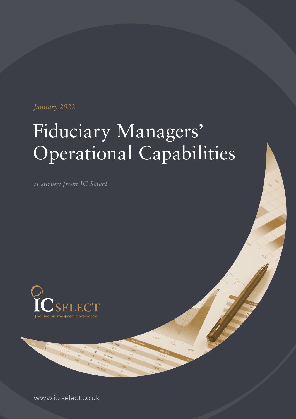*January 2022*

# Fiduciary Managers' Operational Capabilities

*A survey from IC Select*



www.ic-select.co.uk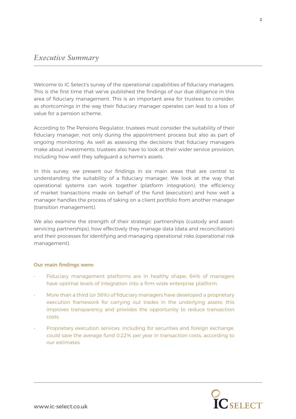# *Executive Summary*

Welcome to IC Select's survey of the operational capabilities of fiduciary managers. This is the first time that we've published the findings of our due diligence in this area of fiduciary management. This is an important area for trustees to consider, as shortcomings in the way their fiduciary manager operates can lead to a loss of value for a pension scheme.

According to The Pensions Regulator, trustees must consider the suitability of their fiduciary manager, not only during the appointment process but also as part of ongoing monitoring. As well as assessing the decisions that fiduciary managers make about investments, trustees also have to look at their wider service provision, including how well they safeguard a scheme's assets.

In this survey, we present our findings in six main areas that are central to understanding the suitability of a fiduciary manager. We look at the way that operational systems can work together (platform integration), the efficiency of market transactions made on behalf of the fund (execution) and how well a manager handles the process of taking on a client portfolio from another manager (transition management).

We also examine the strength of their strategic partnerships (custody and assetservicing partnerships), how effectively they manage data (data and reconciliation) and their processes for identifying and managing operational risks (operational risk management).

# Our main findings were:

- Fiduciary management platforms are in healthy shape; 64% of managers have optimal levels of integration into a firm-wide enterprise platform.
- More than a third (or 36%) of fiduciary managers have developed a proprietary execution framework for carrying out trades in the underlying assets; this improves transparency and provides the opportunity to reduce transaction costs.
- Proprietary execution services, including for securities and foreign exchange, could save the average fund 0.22% per year in transaction costs, according to our estimates.

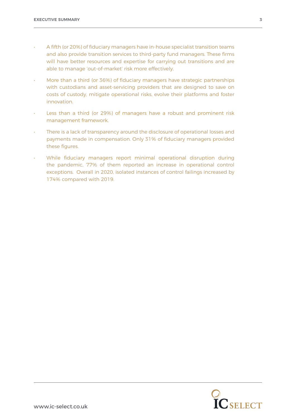- A fifth (or 20%) of fiduciary managers have in-house specialist transition teams and also provide transition services to third-party fund managers. These firms will have better resources and expertise for carrying out transitions and are able to manage 'out-of-market' risk more effectively.
- More than a third (or 36%) of fiduciary managers have strategic partnerships with custodians and asset-servicing providers that are designed to save on costs of custody, mitigate operational risks, evolve their platforms and foster innovation.
- Less than a third (or 29%) of managers have a robust and prominent risk management framework.
- There is a lack of transparency around the disclosure of operational losses and payments made in compensation. Only 31% of fiduciary managers provided these figures.
- While fiduciary managers report minimal operational disruption during the pandemic, 77% of them reported an increase in operational control exceptions. Overall in 2020, isolated instances of control failings increased by 174% compared with 2019.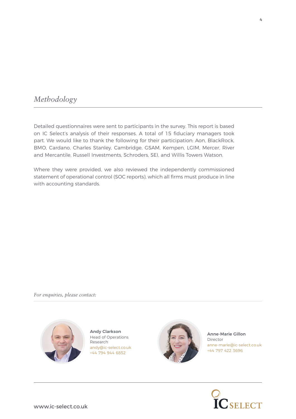# *Methodology*

Detailed questionnaires were sent to participants in the survey. This report is based on IC Select's analysis of their responses. A total of 15 fiduciary managers took part. We would like to thank the following for their participation: Aon, BlackRock, BMO, Cardano, Charles Stanley, Cambridge, GSAM, Kempen, LGIM, Mercer, River and Mercantile, Russell Investments, Schroders, SEI, and Willis Towers Watson.

Where they were provided, we also reviewed the independently commissioned statement of operational control (SOC reports), which all firms must produce in line with accounting standards.

*For enquiries, please contact:*



Andy Clarkson Head of Operations Research andy@ic-select.co.uk +44 794 944 6852



Anne-Marie Gillon Director anne-marie@ic-select.co.uk +44 797 422 3696



4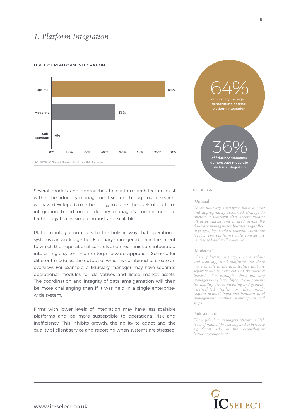# *1. Platform Integration*

# LEVEL OF **DLATEODM INTEGRATION**



Several models and approaches to platform architecture exist within the fiduciary management sector. Through our research, we have developed a methodology to assess the levels of platform integration based on a fiduciary manager's commitment to technology that is simple, robust and scalable.

Platform integration refers to the holistic way that operational systems can work together. Fiduciary managers differ in the extent to which their operational controls and mechanics are integrated into a single system – an enterprise-wide approach. Some offer different modules, the output of which is combined to create an overview. For example, a fiduciary manager may have separate operational modules for derivatives and listed market assets. The coordination and integrity of data amalgamation will then be more challenging than if it was held in a single enterprisewide system.

Firms with lower levels of integration may have less scalable platforms and be more susceptible to operational risk and inefficiency. This inhibits growth, the ability to adapt and the quality of client service and reporting when systems are stressed.



# DEFINITIONS

# **'Optimal'**

*These fiduciary managers have a clear and appropriately resourced strategy to operate a platform that accommodates all asset classes and is used across the fiduciary management business regardless of geography or, where relevant, corporate legacy. The platform's data sources are centralised and well governed.*

#### **'Moderate'**

*These fiduciary managers have robust and well-supported platforms but there are elements in the architecture that are separate due to asset class or transaction lifecycle. For example, these fiduciary managers may have different components for liability-driven investing and growthasset-related trades or they might require manual hand-offs between fund management, compliance and operational steps.*

### **'Sub-standard'**

*These fiduciary managers operate a high level of manual processing and experience significant risks in the reconciliation between components.*

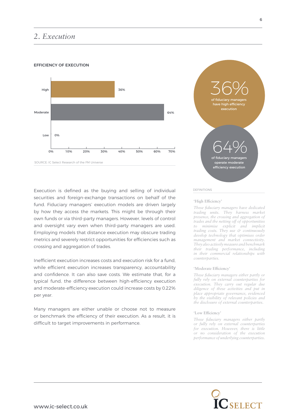# *2. Execution*

# EFFICIENCY OF EXECUTION



Execution is defined as the buying and selling of individual securities and foreign-exchange transactions on behalf of the fund. Fiduciary managers' execution models are driven largely by how they access the markets. This might be through their own funds or via third-party managers. However, levels of control and oversight vary even when third-party managers are used. Employing models that distance execution may obscure trading metrics and severely restrict opportunities for efficiencies such as crossing and aggregation of trades.

Inefficient execution increases costs and execution risk for a fund, while efficient execution increases transparency, accountability and confidence. It can also save costs. We estimate that, for a typical fund, the difference between high-efficiency execution and moderate-efficiency execution could increase costs by 0.22% per year.

Many managers are either unable or choose not to measure or benchmark the efficiency of their execution. As a result, it is difficult to target improvements in performance.



# DEFINITIONS

# **'High Efficiency'**

*These fiduciary managers have dedicated trading units. They harness market presence, the crossing and aggregation of trades and the netting off of opportunities to minimise explicit and implicit trading costs. They use & continuously develop technology that optimises order management and market connectivity. They also actively measure and benchmark their trading performance, including in their commercial relationships with counterparties.*

#### **'Moderate Efficiency'**

*These fiduciary managers either partly or fully rely on external counterparties for execution. They carry out regular due diligence of these activities and put in place appropriate governance, evidenced by the visibility of relevant policies and the disclosure of external counterparties.*

# **'Low Efficiency'**

*These fiduciary managers either partly or fully rely on external counterparties for execution. However, there is little or no consideration of the execution performance of underlying counterparties.*

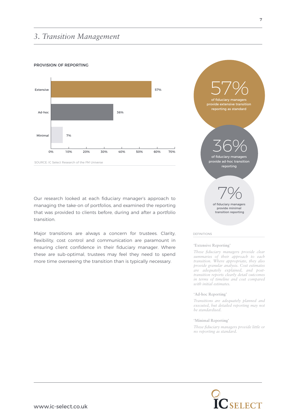# *3. Transition Management*

# PROVISION OF REPORTING



of fiduciary managers reporting as standard 57% of fiduciary managers provide ad-hoc transition reporting 36% of fiduciary managers provide minimal transition reporting 7%

### DEFINITIONS

### **'Extensive Reporting'**

*These fiduciary managers provide clear summaries of their approach to each transition. Where appropriate, they also provide granular analysis. Cost estimates are adequately explained, and posttransition reports clearly detail outcomes in terms of timeline and cost compared with initial estimates.*

### **'Ad-hoc Reporting'**

*Transitions are adequately planned and executed, but detailed reporting may not be standardised.*

### **'Minimal Reporting'**

*These fiduciary managers provide little or no reporting as standard.*





Our research looked at each fiduciary manager's approach to managing the take-on of portfolios, and examined the reporting that was provided to clients before, during and after a portfolio transition.

Major transitions are always a concern for trustees. Clarity, flexibility, cost control and communication are paramount in ensuring client confidence in their fiduciary manager. Where these are sub-optimal, trustees may feel they need to spend more time overseeing the transition than is typically necessary.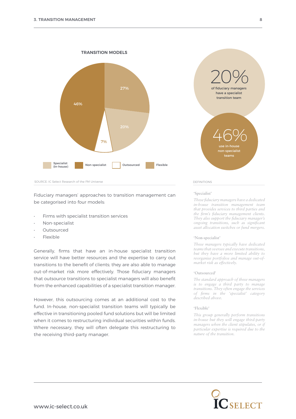

Fiduciary managers' approaches to transition management can be categorised into four models:

- Firms with specialist transition services
- Non-specialist
- **Outsourced**
- Flexible

Generally, firms that have an in-house specialist transition service will have better resources and the expertise to carry out transitions to the benefit of clients; they are also able to manage out-of-market risk more effectively. Those fiduciary managers that outsource transitions to specialist managers will also benefit from the enhanced capabilities of a specialist transition manager.

However, this outsourcing comes at an additional cost to the fund. In-house, non-specialist transition teams will typically be effective in transitioning pooled fund solutions but will be limited when it comes to restructuring individual securities within funds. Where necessary, they will often delegate this restructuring to the receiving third-party manager.



### **'Specialist'**

*These fiduciary managers have a dedicated in-house transition management team that provides services to third parties and the firm's fiduciary management clients. They also support the fiduciary manager's ongoing transitions, such as significant asset allocation switches or fund mergers.*

### **'Non-specialist'**

*These managers typically have dedicated teams that oversee and execute transitions, but they have a more limited ability to reorganise portfolios and manage out-ofmarket risk as effectively.*

#### **'Outsourced'**

*The standard approach of these managers is to engage a third party to manage transitions. They often engage the services of firms in the 'specialist' category described above.*

### **'Flexible'**

*This group generally perform transitions in-house but they will engage third-party managers when the client stipulates, or if particular expertise is required due to the nature of the transition.*

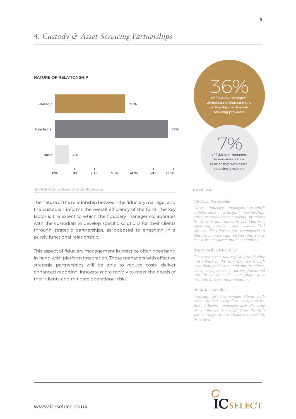# *4. Custody & Asset-Servicing Partnerships*







The nature of the relationship between the fiduciary manager and the custodian informs the overall efficiency of the fund. The key factor is the extent to which the fiduciary manager collaborates with the custodian to develop specific solutions for their clients through strategic partnerships, as opposed to engaging in a purely functional relationship.

This aspect of fiduciary management in practice often goes hand in hand with platform integration. Those managers with effective strategic partnerships will be able to reduce costs, deliver enhanced reporting, innovate more rapidly to meet the needs of their clients and mitigate operational risks.



# **'Strategic Partnership'**

*These fiduciary managers establish collaborative strategic partnerships with custodian/asset-servicing providers to develop and innovate the platform, operating model and value-added services. They have robust frameworks in place to manage relationships and service levels are measured and benchmarked.*

#### **'Functional Relationship'**

*These managers will typically be flexible and robust in the way they work with custodians and asset-servicing providers. Their engagement is purely functional with little or no evidence of collaboration around strategy and innovation.*

### **'Basic Relationship'**

*Typically servicing smaller clients with more limited custodian requirements, these fiduciary managers lack the scale or complexity to benefit from the fullservice range of custodian/asset-servicing providers.*

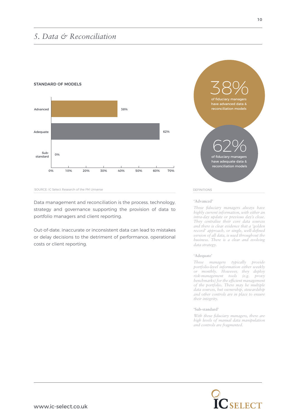# *5. Data & Reconciliation*



# STANDARD OF MODELS



Data management and reconciliation is the process, technology, strategy and governance supporting the provision of data to portfolio managers and client reporting.

Out-of-date, inaccurate or inconsistent data can lead to mistakes or delay decisions to the detriment of performance, operational costs or client reporting.

# of fiduciary managers have advanced data & reconciliation models 38% of fiduciary managers have adequate data & rave duequate data a 62%

# DEFINITIONS

**'Advanced'**

*These fiduciary managers always have highly current information, with either an intra-day update or previous day's close. They centralise their core data sources and there is clear evidence that a 'golden record' approach, or single, well-defined version of all data, is used throughout the business. There is a clear and evolving data strategy.*

# **'Adequate'**

*These managers typically provide portfolio-level information either weekly or monthly. However, they deploy risk-management tools (e.g. proxy benchmarks) for the efficient management of the portfolio. There may be multiple data sources, but ownership, stewardship and other controls are in place to ensure their integrity.*

# **'Sub-standard'**

*With these fiduciary managers, there are high levels of manual data manipulation and controls are fragmented.* 

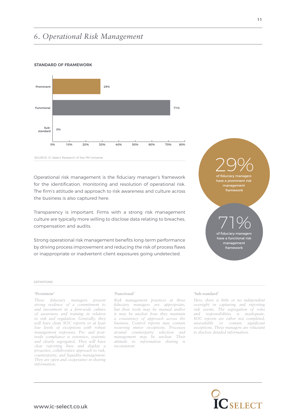# *6. Operational Risk Management*



# STANDARD OF FRAMEWORK

Operational risk management is the fiduciary manager's framework for the identification, monitoring and resolution of operational risk. The firm's attitude and approach to risk awareness and culture across the business is also captured here.

Transparency is important. Firms with a strong risk management culture are typically more willing to disclose data relating to breaches, compensation and audits.

Strong operational risk management benefits long-term performance by driving process improvement and reducing the risk of process flaws or inappropriate or inadvertent client exposures going undetected.

of fiduciary managers e a prominent risk management framework 29% 71%

of fiduciary mana have a functional risk management framework

# DEFINITIONS

# **'Prominent'**

*These fiduciary managers present strong evidence of a commitment to and investment in a firm-wide culture of awareness and training in relation to risk and regulation. Generally, they will have clean SOC reports or at least low levels of exceptions with robust management responses. Pre- and posttrade compliance is extensive, systemic and clearly segregated. They will have clear reporting lines and display a proactive, collaborative approach to risk, counterparty, and liquidity management. They are open and cooperative in sharing information.*

#### **'Functional'**

*Risk management practices at these fiduciary managers are appropriate, but their tools may be manual and/or it may be unclear how they maintain a consistency of approach across the business. Control reports may contain recurring minor exceptions. Processes around counterparty selection and management may be unclear. Their attitude to information sharing is inconsistent.*

### **'Sub-standard'**

*Here, there is little or no independent oversight in capturing and reporting risk events. The segregation of roles and responsibilities is inadequate. SOC reports are either not completed, unavailable or contain significant exceptions. These managers are reluctant to disclose detailed information.*

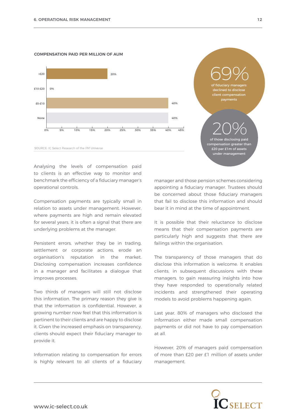



of fiduciary managers clined to discl client compensation payments 69% of those disclosing paid nsation greater than £20 per £1m of assets under management 20%

Analysing the levels of compensation paid to clients is an effective way to monitor and benchmark the efficiency of a fiduciary manager's operational controls.

Compensation payments are typically small in relation to assets under management. However, where payments are high and remain elevated for several years, it is often a signal that there are underlying problems at the manager.

Persistent errors, whether they be in trading, settlement or corporate actions, erode an organisation's reputation in the market. Disclosing compensation increases confidence in a manager and facilitates a dialogue that improves processes.

Two thirds of managers will still not disclose this information. The primary reason they give is that the information is confidential. However, a growing number now feel that this information is pertinent to their clients and are happy to disclose it. Given the increased emphasis on transparency, clients should expect their fiduciary manager to provide it.

Information relating to compensation for errors is highly relevant to all clients of a fiduciary manager and those pension schemes considering appointing a fiduciary manager. Trustees should be concerned about those fiduciary managers that fail to disclose this information and should bear it in mind at the time of appointment.

It is possible that their reluctance to disclose means that their compensation payments are particularly high and suggests that there are failings within the organisation.

The transparency of those managers that do disclose this information is welcome. It enables clients, in subsequent discussions with these managers, to gain reassuring insights into how they have responded to operationally related incidents and strengthened their operating models to avoid problems happening again.

Last year, 80% of managers who disclosed the information either made small compensation payments or did not have to pay compensation at all.

However, 20% of managers paid compensation of more than £20 per £1 million of assets under management.

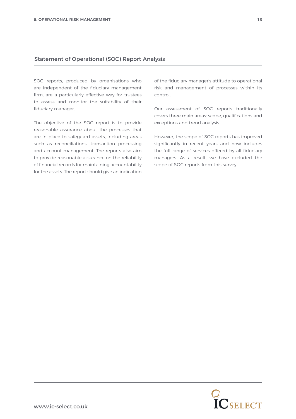# Statement of Operational (SOC) Report Analysis

SOC reports, produced by organisations who are independent of the fiduciary management firm, are a particularly effective way for trustees to assess and monitor the suitability of their fiduciary manager.

The objective of the SOC report is to provide reasonable assurance about the processes that are in place to safeguard assets, including areas such as reconciliations, transaction processing and account management. The reports also aim to provide reasonable assurance on the reliability of financial records for maintaining accountability for the assets. The report should give an indication

of the fiduciary manager's attitude to operational risk and management of processes within its control.

Our assessment of SOC reports traditionally covers three main areas: scope, qualifications and exceptions and trend analysis.

However, the scope of SOC reports has improved significantly in recent years and now includes the full range of services offered by all fiduciary managers. As a result, we have excluded the scope of SOC reports from this survey.

 $\mathbf{\widetilde{IC}}$ select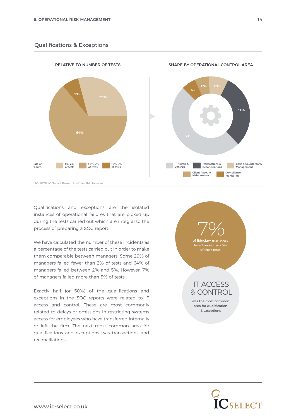# Qualifications & Exceptions



Qualifications and exceptions are the isolated instances of operational failures that are picked up during the tests carried out which are integral to the process of preparing a SOC report.

We have calculated the number of these incidents as a percentage of the tests carried out in order to make them comparable between managers. Some 29% of managers failed fewer than 2% of tests and 64% of managers failed between 2% and 5%. However, 7% of managers failed more than 5% of tests.

Exactly half (or 50%) of the qualifications and exceptions in the SOC reports were related to IT access and control. These are most commonly related to delays or omissions in restricting systems access for employees who have transferred internally or left the firm. The next most common area for qualifications and exceptions was transactions and reconciliations.

of fiduciary managers failed more than 5% of their tests 7% was the most common area for qualification & exceptions IT ACCESS & CONTROL